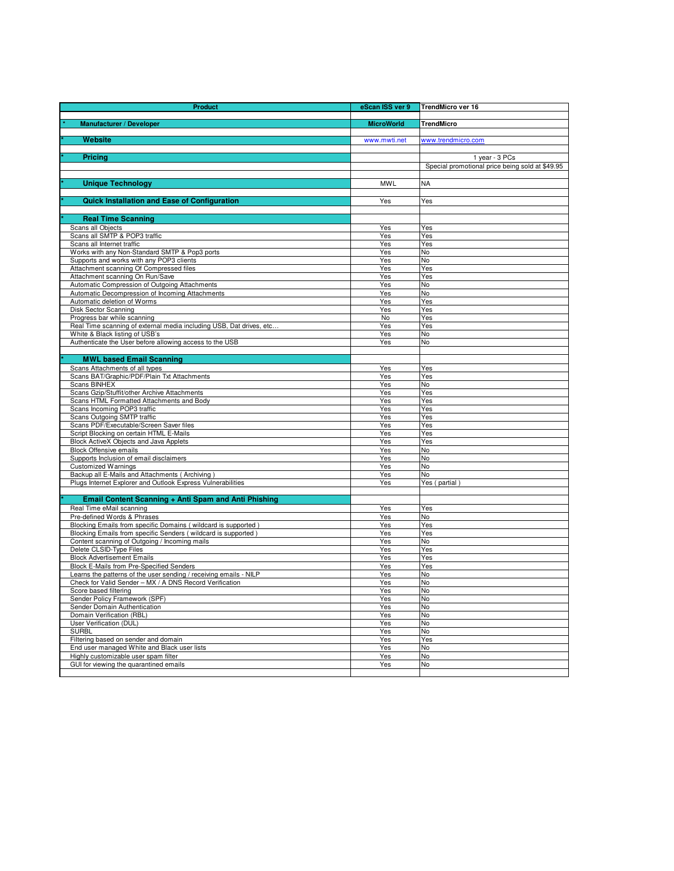| Product                                                                                                                      | eScan ISS ver 9   | TrendMicro ver 16                               |
|------------------------------------------------------------------------------------------------------------------------------|-------------------|-------------------------------------------------|
|                                                                                                                              |                   |                                                 |
| <b>Manufacturer / Developer</b>                                                                                              | <b>MicroWorld</b> | <b>TrendMicro</b>                               |
| Website                                                                                                                      | www.mwti.net      | www.trendmicro.com                              |
|                                                                                                                              |                   |                                                 |
| Pricing                                                                                                                      |                   | 1 year - 3 PCs                                  |
|                                                                                                                              |                   | Special promotional price being sold at \$49.95 |
| <b>Unique Technology</b>                                                                                                     | <b>MWL</b>        | NA                                              |
|                                                                                                                              |                   |                                                 |
| <b>Quick Installation and Ease of Configuration</b>                                                                          | Yes               | Yes                                             |
|                                                                                                                              |                   |                                                 |
| <b>Real Time Scanning</b>                                                                                                    |                   |                                                 |
| Scans all Objects                                                                                                            | Yes               | Yes                                             |
| Scans all SMTP & POP3 traffic<br>Scans all Internet traffic                                                                  | Yes<br>Yes        | Yes<br>Yes                                      |
| Works with any Non-Standard SMTP & Pop3 ports                                                                                | Yes               | No                                              |
| Supports and works with any POP3 clients                                                                                     | Yes               | No                                              |
| Attachment scanning Of Compressed files                                                                                      | Yes               | Yes                                             |
| Attachment scanning On Run/Save                                                                                              | Yes               | Yes                                             |
| Automatic Compression of Outgoing Attachments                                                                                | Yes               | No                                              |
| Automatic Decompression of Incoming Attachments<br>Automatic deletion of Worms                                               | Yes<br>Yes        | No<br>Yes                                       |
| Disk Sector Scanning                                                                                                         | Yes               | Yes                                             |
| Progress bar while scanning                                                                                                  | No                | Yes                                             |
| Real Time scanning of external media including USB, Dat drives, etc                                                          | Yes               | Yes                                             |
| White & Black listing of USB's                                                                                               | Yes               | No                                              |
| Authenticate the User before allowing access to the USB                                                                      | Yes               | No                                              |
| <b>MWL based Email Scanning</b>                                                                                              |                   |                                                 |
| Scans Attachments of all types                                                                                               | Yes               | Yes                                             |
| Scans BAT/Graphic/PDF/Plain Txt Attachments                                                                                  | Yes               | Yes                                             |
| <b>Scans BINHEX</b>                                                                                                          | Yes               | No                                              |
| Scans Gzip/Stuffit/other Archive Attachments                                                                                 | Yes               | Yes                                             |
| Scans HTML Formatted Attachments and Body<br>Scans Incoming POP3 traffic                                                     | Yes<br>Yes        | Yes<br>Yes                                      |
| <b>Scans Outgoing SMTP traffic</b>                                                                                           | Yes               | Yes                                             |
| Scans PDF/Executable/Screen Saver files                                                                                      | Yes               | Yes                                             |
| Script Blocking on certain HTML E-Mails                                                                                      | Yes               | Yes                                             |
| Block ActiveX Objects and Java Applets                                                                                       | Yes               | Yes                                             |
| <b>Block Offensive emails</b>                                                                                                | Yes               | No                                              |
| Supports Inclusion of email disclaimers<br><b>Customized Warnings</b>                                                        | Yes<br>Yes        | No<br>No                                        |
| Backup all E-Mails and Attachments (Archiving)                                                                               | Yes               | No                                              |
| Plugs Internet Explorer and Outlook Express Vulnerabilities                                                                  | Yes               | Yes (partial)                                   |
|                                                                                                                              |                   |                                                 |
| Email Content Scanning + Anti Spam and Anti Phishing                                                                         |                   |                                                 |
| Real Time eMail scanning                                                                                                     | Yes               | Yes                                             |
| Pre-defined Words & Phrases<br>Blocking Emails from specific Domains (wildcard is supported)                                 | Yes<br>Yes        | No<br>Yes                                       |
| Blocking Emails from specific Senders (wildcard is supported)                                                                | Yes               | Yes                                             |
| Content scanning of Outgoing / Incoming mails                                                                                | Yes               | No                                              |
| Delete CLSID-Type Files                                                                                                      | Yes               | Yes                                             |
| <b>Block Advertisement Emails</b>                                                                                            | Yes               | Yes                                             |
| <b>Block E-Mails from Pre-Specified Senders</b>                                                                              | Yes<br>Yes        | Yes<br>No                                       |
| Learns the patterns of the user sending / receiving emails - NILP<br>Check for Valid Sender - MX / A DNS Record Verification | Yes               | No                                              |
| Score based filtering                                                                                                        | Yes               | No                                              |
| Sender Policy Framework (SPF)                                                                                                | Yes               | No                                              |
| Sender Domain Authentication                                                                                                 | Yes               | No                                              |
| Domain Verification (RBL)                                                                                                    | Yes               | No                                              |
| User Verification (DUL)<br><b>SURBL</b>                                                                                      | Yes<br>Yes        | No<br>No                                        |
| Filtering based on sender and domain                                                                                         | Yes               | Yes                                             |
| End user managed White and Black user lists                                                                                  | Yes               | No                                              |
| Highly customizable user spam filter                                                                                         | Yes               | No                                              |
| GUI for viewing the quarantined emails                                                                                       | Yes               | No                                              |
|                                                                                                                              |                   |                                                 |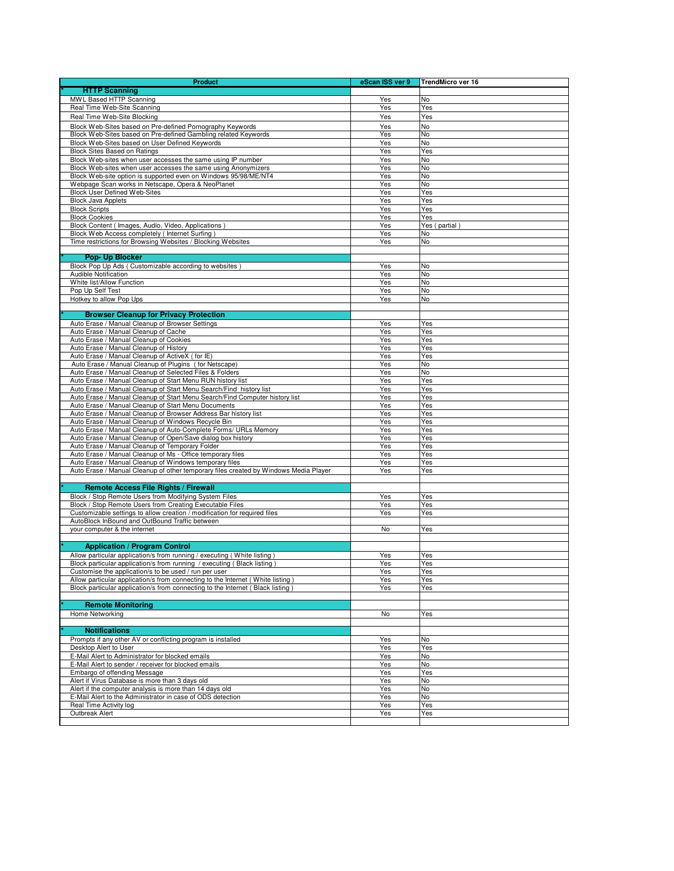| Product                                                                                                                                                         | eScan ISS ver 9 | TrendMicro ver 16    |
|-----------------------------------------------------------------------------------------------------------------------------------------------------------------|-----------------|----------------------|
| <b>HTTP Scanning</b>                                                                                                                                            |                 |                      |
| MWL Based HTTP Scanning                                                                                                                                         | Yes             | No                   |
| Real Time Web-Site Scanning                                                                                                                                     | Yes             | Yes                  |
| Real Time Web-Site Blocking                                                                                                                                     | Yes             | Yes                  |
| Block Web-Sites based on Pre-defined Pornography Keywords                                                                                                       | Yes             | <b>No</b>            |
| Block Web-Sites based on Pre-defined Gambling related Keywords                                                                                                  | Yes             | No<br>No             |
| Block Web-Sites based on User Defined Keywords<br><b>Block Sites Based on Ratings</b>                                                                           | Yes<br>Yes      | Yes                  |
| Block Web-sites when user accesses the same using IP number                                                                                                     | Yes             | No                   |
| Block Web-sites when user accesses the same using Anonymizers                                                                                                   | Yes             | No                   |
| Block Web-site option is supported even on Windows 95/98/ME/NT4                                                                                                 | Yes             | No                   |
| Webpage Scan works in Netscape, Opera & NeoPlanet                                                                                                               | Yes             | No                   |
| <b>Block User Defined Web-Sites</b>                                                                                                                             | Yes             | Yes                  |
| <b>Block Java Applets</b>                                                                                                                                       | Yes             | Yes                  |
| <b>Block Scripts</b>                                                                                                                                            | Yes             | Yes                  |
| <b>Block Cookies</b><br>Block Content ( Images, Audio, Video, Applications )                                                                                    | Yes<br>Yes      | Yes<br>Yes (partial) |
| Block Web Access completely (Internet Surfing)                                                                                                                  | Yes             | No                   |
| Time restrictions for Browsing Websites / Blocking Websites                                                                                                     | Yes             | <b>No</b>            |
|                                                                                                                                                                 |                 |                      |
| Pop- Up Blocker                                                                                                                                                 |                 |                      |
| Block Pop Up Ads (Customizable according to websites)                                                                                                           | Yes             | No                   |
| Audible Notification                                                                                                                                            | Yes             | No                   |
| White list/Allow Function                                                                                                                                       | Yes             | No                   |
| Pop Up Self Test                                                                                                                                                | Yes             | No                   |
| Hotkey to allow Pop Ups                                                                                                                                         | Yes             | No                   |
| <b>Browser Cleanup for Privacy Protection</b>                                                                                                                   |                 |                      |
| Auto Erase / Manual Cleanup of Browser Settings                                                                                                                 | Yes             | Yes                  |
| Auto Erase / Manual Cleanup of Cache                                                                                                                            | Yes             | Yes                  |
| Auto Erase / Manual Cleanup of Cookies                                                                                                                          | Yes             | Yes                  |
| Auto Erase / Manual Cleanup of History                                                                                                                          | Yes             | Yes                  |
| Auto Erase / Manual Cleanup of ActiveX (for IE)                                                                                                                 | Yes             | Yes                  |
| Auto Erase / Manual Cleanup of Plugins (for Netscape)                                                                                                           | Yes             | No                   |
| Auto Erase / Manual Cleanup of Selected Files & Folders                                                                                                         | Yes             | No                   |
| Auto Erase / Manual Cleanup of Start Menu RUN history list                                                                                                      | Yes             | Yes                  |
| Auto Erase / Manual Cleanup of Start Menu Search/Find history list                                                                                              | Yes             | Yes                  |
| Auto Erase / Manual Cleanup of Start Menu Search/Find Computer history list<br>Auto Erase / Manual Cleanup of Start Menu Documents                              | Yes<br>Yes      | Yes<br>Yes           |
| Auto Erase / Manual Cleanup of Browser Address Bar history list                                                                                                 | Yes             | Yes                  |
| Auto Erase / Manual Cleanup of Windows Recycle Bin                                                                                                              | Yes             | Yes                  |
| Auto Erase / Manual Cleanup of Auto-Complete Forms/ URLs Memory                                                                                                 | Yes             | Yes                  |
| Auto Erase / Manual Cleanup of Open/Save dialog box history                                                                                                     | Yes             | Yes                  |
| Auto Erase / Manual Cleanup of Temporary Folder                                                                                                                 | Yes             | Yes                  |
| Auto Erase / Manual Cleanup of Ms - Office temporary files                                                                                                      | Yes             | Yes                  |
| Auto Erase / Manual Cleanup of Windows temporary files                                                                                                          | Yes             | Yes                  |
| Auto Erase / Manual Cleanup of other temporary files created by Windows Media Player                                                                            | Yes             | Yes                  |
| Remote Access File Rights / Firewall                                                                                                                            |                 |                      |
| Block / Stop Remote Users from Modifying System Files                                                                                                           | Yes             | Yes                  |
| Block / Stop Remote Users from Creating Executable Files                                                                                                        | Yes             | Yes                  |
| Customizable settings to allow creation / modification for required files                                                                                       | Yes             | Yes                  |
| AutoBlock InBound and OutBound Traffic between                                                                                                                  |                 |                      |
| your computer & the internet                                                                                                                                    | No              | Yes                  |
|                                                                                                                                                                 |                 |                      |
| <b>Application / Program Control</b>                                                                                                                            |                 |                      |
| Allow particular application/s from running / executing ( White listing )                                                                                       | Yes             | Yes                  |
| Block particular application/s from running / executing (Black listing)                                                                                         | Yes             | Yes                  |
| Customise the application/s to be used / run per user                                                                                                           | res             | Yes                  |
| Allow particular application/s from connecting to the Internet (White listing<br>Block particular application/s from connecting to the Internet (Black listing) | Yes<br>Yes      | Yes<br>Yes           |
|                                                                                                                                                                 |                 |                      |
| <b>Remote Monitoring</b>                                                                                                                                        |                 |                      |
| Home Networking                                                                                                                                                 | No              | Yes                  |
|                                                                                                                                                                 |                 |                      |
| <b>Notifications</b>                                                                                                                                            |                 |                      |
| Prompts if any other AV or conflicting program is installed                                                                                                     | Yes             | No                   |
| Desktop Alert to User                                                                                                                                           | Yes             | Yes                  |
| E-Mail Alert to Administrator for blocked emails                                                                                                                | Yes             | No                   |
| E-Mail Alert to sender / receiver for blocked emails                                                                                                            | Yes             | No                   |
| Embargo of offending Message                                                                                                                                    | Yes             | Yes                  |
| Alert if Virus Database is more than 3 days old                                                                                                                 | Yes             | No                   |
| Alert if the computer analysis is more than 14 days old<br>E-Mail Alert to the Administrator in case of ODS detection                                           | Yes<br>Yes      | No<br>No             |
| Real Time Activity log                                                                                                                                          | Yes             | Yes                  |
| Outbreak Alert                                                                                                                                                  | Yes             | Yes                  |
|                                                                                                                                                                 |                 |                      |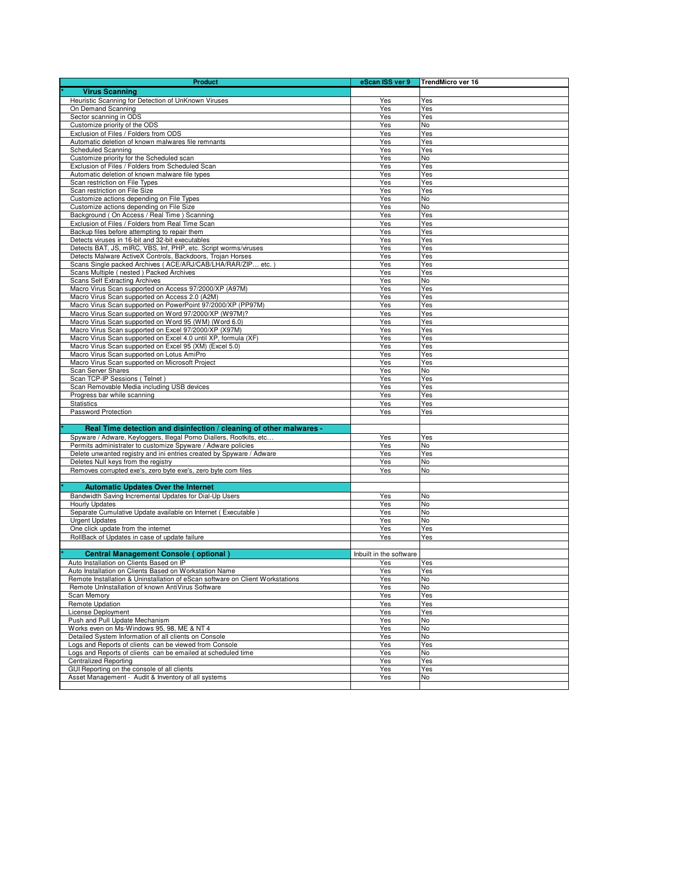| <b>Product</b>                                                                                                 | eScan ISS ver 9         | TrendMicro ver 16 |
|----------------------------------------------------------------------------------------------------------------|-------------------------|-------------------|
| <b>Virus Scanning</b>                                                                                          |                         |                   |
| Heuristic Scanning for Detection of UnKnown Viruses                                                            | Yes                     | Yes               |
| On Demand Scanning                                                                                             | Yes                     | Yes               |
| Sector scanning in ODS                                                                                         | Yes                     | Yes               |
| Customize priority of the ODS                                                                                  | Yes                     | No                |
| Exclusion of Files / Folders from ODS<br>Automatic deletion of known malwares file remnants                    | Yes<br>Yes              | <b>Yes</b><br>Yes |
| <b>Scheduled Scanning</b>                                                                                      | Yes                     | Yes               |
| Customize priority for the Scheduled scan                                                                      | Yes                     | No                |
| Exclusion of Files / Folders from Scheduled Scan                                                               | Yes                     | Yes               |
| Automatic deletion of known malware file types                                                                 | Yes                     | Yes               |
| Scan restriction on File Types                                                                                 | Yes                     | Yes               |
| Scan restriction on File Size                                                                                  | Yes                     | Yes               |
| Customize actions depending on File Types                                                                      | Yes                     | No                |
| Customize actions depending on File Size                                                                       | Yes                     | No                |
| Background (On Access / Real Time) Scanning<br>Exclusion of Files / Folders from Real Time Scan                | Yes                     | Yes               |
| Backup files before attempting to repair them                                                                  | Yes<br>Yes              | Yes<br>Yes        |
| Detects viruses in 16-bit and 32-bit executables                                                               | Yes                     | Yes               |
| Detects BAT, JS, mIRC, VBS, Inf, PHP, etc. Script worms/viruses                                                | Yes                     | Yes               |
| Detects Malware ActiveX Controls, Backdoors, Trojan Horses                                                     | Yes                     | Yes               |
| Scans Single packed Archives ( ACE/ARJ/CAB/LHA/RAR/ZIP etc.)                                                   | Yes                     | Yes               |
| Scans Multiple (nested) Packed Archives                                                                        | Yes                     | Yes               |
| <b>Scans Self Extracting Archives</b>                                                                          | Yes                     | No                |
| Macro Virus Scan supported on Access 97/2000/XP (A97M)                                                         | Yes                     | Yes               |
| Macro Virus Scan supported on Access 2.0 (A2M)                                                                 | Yes                     | Yes               |
| Macro Virus Scan supported on PowerPoint 97/2000/XP (PP97M)                                                    | Yes                     | Yes               |
| Macro Virus Scan supported on Word 97/2000/XP (W97M)?<br>Macro Virus Scan supported on Word 95 (WM) (Word 6.0) | Yes<br>Yes              | Yes<br>Yes        |
| Macro Virus Scan supported on Excel 97/2000/XP (X97M)                                                          | Yes                     | Yes               |
| Macro Virus Scan supported on Excel 4.0 until XP, formula (XF)                                                 | Yes                     | <b>Yes</b>        |
| Macro Virus Scan supported on Excel 95 (XM) (Excel 5.0)                                                        | Yes                     | Yes               |
| Macro Virus Scan supported on Lotus AmiPro                                                                     | Yes                     | Yes               |
| Macro Virus Scan supported on Microsoft Project                                                                | Yes                     | Yes               |
| Scan Server Shares                                                                                             | Yes                     | No                |
| Scan TCP-IP Sessions (Telnet)                                                                                  | Yes                     | Yes               |
| Scan Removable Media including USB devices                                                                     | Yes                     | Yes               |
| Progress bar while scanning                                                                                    | Yes<br>Yes              | Yes               |
| <b>Statistics</b><br>Password Protection                                                                       | Yes                     | Yes<br>Yes        |
|                                                                                                                |                         |                   |
| Real Time detection and disinfection / cleaning of other malwares -                                            |                         |                   |
| Spyware / Adware, Keyloggers, Illegal Porno Diallers, Rootkits, etc                                            | Yes                     | Yes               |
| Permits administrater to customize Spyware / Adware policies                                                   | Yes                     | No                |
| Delete unwanted registry and ini entries created by Spyware / Adware                                           | Yes                     | Yes               |
| Deletes Null keys from the registry                                                                            | Yes                     | No                |
| Removes corrupted exe's, zero byte exe's, zero byte com files                                                  | Yes                     | No                |
|                                                                                                                |                         |                   |
| <b>Automatic Updates Over the Internet</b>                                                                     |                         |                   |
| Bandwidth Saving Incremental Updates for Dial-Up Users                                                         | Yes                     | No                |
| <b>Hourly Updates</b><br>Separate Cumulative Update available on Internet (Executable)                         | Yes                     | No                |
| <b>Urgent Updates</b>                                                                                          | Yes<br>Yes              | No<br>No          |
| One click update from the internet                                                                             | Yes                     | Yes               |
| RollBack of Updates in case of update failure                                                                  | Yes                     | Yes               |
|                                                                                                                |                         |                   |
| <b>Central Management Console (optional)</b>                                                                   | Inbuilt in the software |                   |
| Auto Installation on Clients Based on IP                                                                       | Yes                     | Yes               |
| Auto Installation on Clients Based on Workstation Name                                                         | Yes                     | res               |
| Remote Installation & Uninstallation of eScan software on Client Workstations                                  | Yes                     | No                |
| Remote UnInstallation of known AntiVirus Software                                                              | Yes                     | No                |
| Scan Memorv                                                                                                    | Yes                     | Yes               |
| Remote Updation                                                                                                | Yes                     | Yes               |
| License Deployment                                                                                             | Yes                     | Yes               |
| Push and Pull Update Mechanism                                                                                 | Yes                     | No                |
| Works even on Ms-Windows 95, 98, ME & NT 4<br>Detailed System Information of all clients on Console            | Yes<br>Yes              | No<br>No          |
| Logs and Reports of clients can be viewed from Console                                                         | Yes                     | Yes               |
| Logs and Reports of clients can be emailed at scheduled time                                                   | Yes                     | No                |
| <b>Centralized Reporting</b>                                                                                   | Yes                     | Yes               |
| GUI Reporting on the console of all clients                                                                    | Yes                     | Yes               |
| Asset Management - Audit & Inventory of all systems                                                            | Yes                     | No                |
|                                                                                                                |                         |                   |